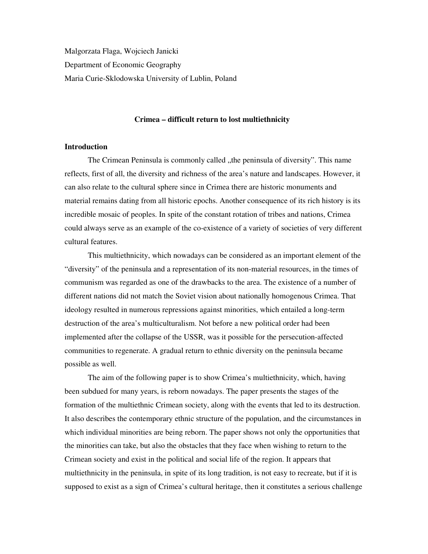Malgorzata Flaga, Wojciech Janicki Department of Economic Geography Maria Curie-Sklodowska University of Lublin, Poland

### **Crimea – difficult return to lost multiethnicity**

### **Introduction**

The Crimean Peninsula is commonly called , the peninsula of diversity". This name reflects, first of all, the diversity and richness of the area's nature and landscapes. However, it can also relate to the cultural sphere since in Crimea there are historic monuments and material remains dating from all historic epochs. Another consequence of its rich history is its incredible mosaic of peoples. In spite of the constant rotation of tribes and nations, Crimea could always serve as an example of the co-existence of a variety of societies of very different cultural features.

This multiethnicity, which nowadays can be considered as an important element of the "diversity" of the peninsula and a representation of its non-material resources, in the times of communism was regarded as one of the drawbacks to the area. The existence of a number of different nations did not match the Soviet vision about nationally homogenous Crimea. That ideology resulted in numerous repressions against minorities, which entailed a long-term destruction of the area's multiculturalism. Not before a new political order had been implemented after the collapse of the USSR, was it possible for the persecution-affected communities to regenerate. A gradual return to ethnic diversity on the peninsula became possible as well.

The aim of the following paper is to show Crimea's multiethnicity, which, having been subdued for many years, is reborn nowadays. The paper presents the stages of the formation of the multiethnic Crimean society, along with the events that led to its destruction. It also describes the contemporary ethnic structure of the population, and the circumstances in which individual minorities are being reborn. The paper shows not only the opportunities that the minorities can take, but also the obstacles that they face when wishing to return to the Crimean society and exist in the political and social life of the region. It appears that multiethnicity in the peninsula, in spite of its long tradition, is not easy to recreate, but if it is supposed to exist as a sign of Crimea's cultural heritage, then it constitutes a serious challenge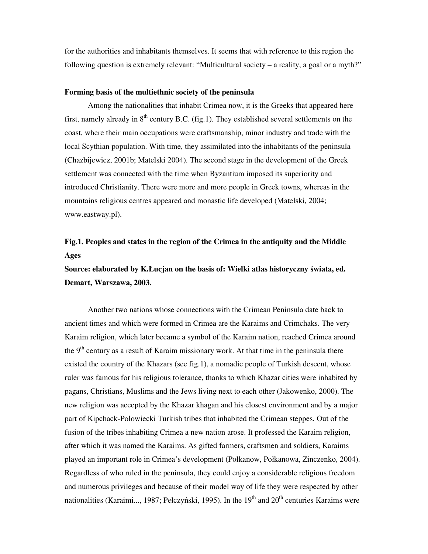for the authorities and inhabitants themselves. It seems that with reference to this region the following question is extremely relevant: "Multicultural society – a reality, a goal or a myth?"

### **Forming basis of the multiethnic society of the peninsula**

Among the nationalities that inhabit Crimea now, it is the Greeks that appeared here first, namely already in  $8<sup>th</sup>$  century B.C. (fig.1). They established several settlements on the coast, where their main occupations were craftsmanship, minor industry and trade with the local Scythian population. With time, they assimilated into the inhabitants of the peninsula (Chazbijewicz, 2001b; Matelski 2004). The second stage in the development of the Greek settlement was connected with the time when Byzantium imposed its superiority and introduced Christianity. There were more and more people in Greek towns, whereas in the mountains religious centres appeared and monastic life developed (Matelski, 2004; www.eastway.pl).

## **Fig.1. Peoples and states in the region of the Crimea in the antiquity and the Middle Ages**

**Source: elaborated by K.Łucjan on the basis of: Wielki atlas historyczny** ś**wiata, ed. Demart, Warszawa, 2003.**

Another two nations whose connections with the Crimean Peninsula date back to ancient times and which were formed in Crimea are the Karaims and Crimchaks. The very Karaim religion, which later became a symbol of the Karaim nation, reached Crimea around the  $9<sup>th</sup>$  century as a result of Karaim missionary work. At that time in the peninsula there existed the country of the Khazars (see fig.1), a nomadic people of Turkish descent, whose ruler was famous for his religious tolerance, thanks to which Khazar cities were inhabited by pagans, Christians, Muslims and the Jews living next to each other (Jakowenko, 2000). The new religion was accepted by the Khazar khagan and his closest environment and by a major part of Kipchack-Polowiecki Turkish tribes that inhabited the Crimean steppes. Out of the fusion of the tribes inhabiting Crimea a new nation arose. It professed the Karaim religion, after which it was named the Karaims. As gifted farmers, craftsmen and soldiers, Karaims played an important role in Crimea's development (Połkanow, Połkanowa, Zinczenko, 2004). Regardless of who ruled in the peninsula, they could enjoy a considerable religious freedom and numerous privileges and because of their model way of life they were respected by other nationalities (Karaimi..., 1987; Pełczyński, 1995). In the  $19<sup>th</sup>$  and  $20<sup>th</sup>$  centuries Karaims were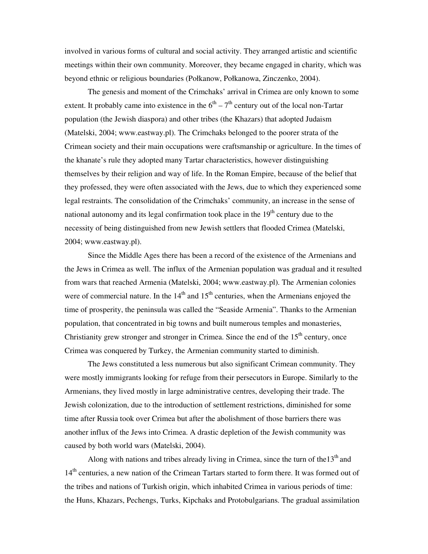involved in various forms of cultural and social activity. They arranged artistic and scientific meetings within their own community. Moreover, they became engaged in charity, which was beyond ethnic or religious boundaries (Połkanow, Połkanowa, Zinczenko, 2004).

The genesis and moment of the Crimchaks' arrival in Crimea are only known to some extent. It probably came into existence in the  $6<sup>th</sup> - 7<sup>th</sup>$  century out of the local non-Tartar population (the Jewish diaspora) and other tribes (the Khazars) that adopted Judaism (Matelski, 2004; www.eastway.pl). The Crimchaks belonged to the poorer strata of the Crimean society and their main occupations were craftsmanship or agriculture. In the times of the khanate's rule they adopted many Tartar characteristics, however distinguishing themselves by their religion and way of life. In the Roman Empire, because of the belief that they professed, they were often associated with the Jews, due to which they experienced some legal restraints. The consolidation of the Crimchaks' community, an increase in the sense of national autonomy and its legal confirmation took place in the  $19<sup>th</sup>$  century due to the necessity of being distinguished from new Jewish settlers that flooded Crimea (Matelski, 2004; www.eastway.pl).

Since the Middle Ages there has been a record of the existence of the Armenians and the Jews in Crimea as well. The influx of the Armenian population was gradual and it resulted from wars that reached Armenia (Matelski, 2004; www.eastway.pl). The Armenian colonies were of commercial nature. In the  $14<sup>th</sup>$  and  $15<sup>th</sup>$  centuries, when the Armenians enjoyed the time of prosperity, the peninsula was called the "Seaside Armenia". Thanks to the Armenian population, that concentrated in big towns and built numerous temples and monasteries, Christianity grew stronger and stronger in Crimea. Since the end of the  $15<sup>th</sup>$  century, once Crimea was conquered by Turkey, the Armenian community started to diminish.

The Jews constituted a less numerous but also significant Crimean community. They were mostly immigrants looking for refuge from their persecutors in Europe. Similarly to the Armenians, they lived mostly in large administrative centres, developing their trade. The Jewish colonization, due to the introduction of settlement restrictions, diminished for some time after Russia took over Crimea but after the abolishment of those barriers there was another influx of the Jews into Crimea. A drastic depletion of the Jewish community was caused by both world wars (Matelski, 2004).

Along with nations and tribes already living in Crimea, since the turn of the  $13<sup>th</sup>$  and 14<sup>th</sup> centuries, a new nation of the Crimean Tartars started to form there. It was formed out of the tribes and nations of Turkish origin, which inhabited Crimea in various periods of time: the Huns, Khazars, Pechengs, Turks, Kipchaks and Protobulgarians. The gradual assimilation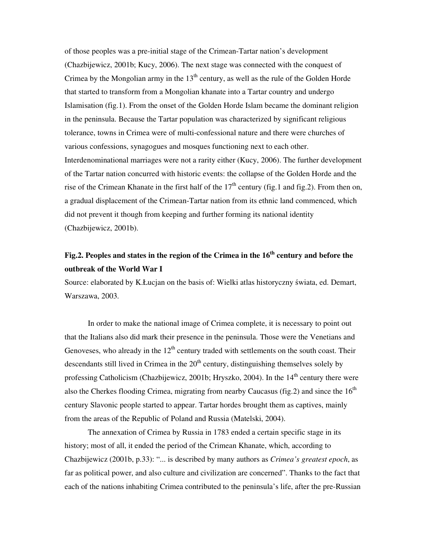of those peoples was a pre-initial stage of the Crimean-Tartar nation's development (Chazbijewicz, 2001b; Kucy, 2006). The next stage was connected with the conquest of Crimea by the Mongolian army in the  $13<sup>th</sup>$  century, as well as the rule of the Golden Horde that started to transform from a Mongolian khanate into a Tartar country and undergo Islamisation (fig.1). From the onset of the Golden Horde Islam became the dominant religion in the peninsula. Because the Tartar population was characterized by significant religious tolerance, towns in Crimea were of multi-confessional nature and there were churches of various confessions, synagogues and mosques functioning next to each other. Interdenominational marriages were not a rarity either (Kucy, 2006). The further development of the Tartar nation concurred with historic events: the collapse of the Golden Horde and the rise of the Crimean Khanate in the first half of the  $17<sup>th</sup>$  century (fig.1 and fig.2). From then on, a gradual displacement of the Crimean-Tartar nation from its ethnic land commenced, which did not prevent it though from keeping and further forming its national identity (Chazbijewicz, 2001b).

## **Fig.2. Peoples and states in the region of the Crimea in the 16th century and before the outbreak of the World War I**

Source: elaborated by K.Łucjan on the basis of: Wielki atlas historyczny świata, ed. Demart, Warszawa, 2003.

In order to make the national image of Crimea complete, it is necessary to point out that the Italians also did mark their presence in the peninsula. Those were the Venetians and Genoveses, who already in the  $12<sup>th</sup>$  century traded with settlements on the south coast. Their descendants still lived in Crimea in the  $20<sup>th</sup>$  century, distinguishing themselves solely by professing Catholicism (Chazbijewicz, 2001b; Hryszko, 2004). In the 14<sup>th</sup> century there were also the Cherkes flooding Crimea, migrating from nearby Caucasus (fig. 2) and since the  $16<sup>th</sup>$ century Slavonic people started to appear. Tartar hordes brought them as captives, mainly from the areas of the Republic of Poland and Russia (Matelski, 2004).

The annexation of Crimea by Russia in 1783 ended a certain specific stage in its history; most of all, it ended the period of the Crimean Khanate, which, according to Chazbijewicz (2001b, p.33): "... is described by many authors as *Crimea's greatest epoch*, as far as political power, and also culture and civilization are concerned". Thanks to the fact that each of the nations inhabiting Crimea contributed to the peninsula's life, after the pre-Russian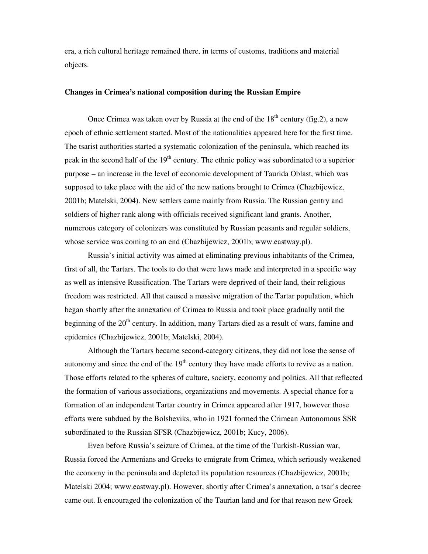era, a rich cultural heritage remained there, in terms of customs, traditions and material objects.

### **Changes in Crimea's national composition during the Russian Empire**

Once Crimea was taken over by Russia at the end of the  $18<sup>th</sup>$  century (fig.2), a new epoch of ethnic settlement started. Most of the nationalities appeared here for the first time. The tsarist authorities started a systematic colonization of the peninsula, which reached its peak in the second half of the  $19<sup>th</sup>$  century. The ethnic policy was subordinated to a superior purpose – an increase in the level of economic development of Taurida Oblast, which was supposed to take place with the aid of the new nations brought to Crimea (Chazbijewicz, 2001b; Matelski, 2004). New settlers came mainly from Russia. The Russian gentry and soldiers of higher rank along with officials received significant land grants. Another, numerous category of colonizers was constituted by Russian peasants and regular soldiers, whose service was coming to an end (Chazbijewicz, 2001b; www.eastway.pl).

Russia's initial activity was aimed at eliminating previous inhabitants of the Crimea, first of all, the Tartars. The tools to do that were laws made and interpreted in a specific way as well as intensive Russification. The Tartars were deprived of their land, their religious freedom was restricted. All that caused a massive migration of the Tartar population, which began shortly after the annexation of Crimea to Russia and took place gradually until the beginning of the  $20<sup>th</sup>$  century. In addition, many Tartars died as a result of wars, famine and epidemics (Chazbijewicz, 2001b; Matelski, 2004).

Although the Tartars became second-category citizens, they did not lose the sense of autonomy and since the end of the  $19<sup>th</sup>$  century they have made efforts to revive as a nation. Those efforts related to the spheres of culture, society, economy and politics. All that reflected the formation of various associations, organizations and movements. A special chance for a formation of an independent Tartar country in Crimea appeared after 1917, however those efforts were subdued by the Bolsheviks, who in 1921 formed the Crimean Autonomous SSR subordinated to the Russian SFSR (Chazbijewicz, 2001b; Kucy, 2006).

Even before Russia's seizure of Crimea, at the time of the Turkish-Russian war, Russia forced the Armenians and Greeks to emigrate from Crimea, which seriously weakened the economy in the peninsula and depleted its population resources (Chazbijewicz, 2001b; Matelski 2004; www.eastway.pl). However, shortly after Crimea's annexation, a tsar's decree came out. It encouraged the colonization of the Taurian land and for that reason new Greek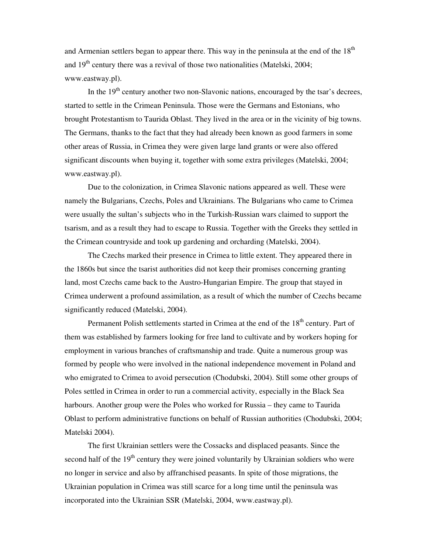and Armenian settlers began to appear there. This way in the peninsula at the end of the  $18<sup>th</sup>$ and  $19<sup>th</sup>$  century there was a revival of those two nationalities (Matelski, 2004; www.eastway.pl).

In the  $19<sup>th</sup>$  century another two non-Slavonic nations, encouraged by the tsar's decrees, started to settle in the Crimean Peninsula. Those were the Germans and Estonians, who brought Protestantism to Taurida Oblast. They lived in the area or in the vicinity of big towns. The Germans, thanks to the fact that they had already been known as good farmers in some other areas of Russia, in Crimea they were given large land grants or were also offered significant discounts when buying it, together with some extra privileges (Matelski, 2004; www.eastway.pl).

Due to the colonization, in Crimea Slavonic nations appeared as well. These were namely the Bulgarians, Czechs, Poles and Ukrainians. The Bulgarians who came to Crimea were usually the sultan's subjects who in the Turkish-Russian wars claimed to support the tsarism, and as a result they had to escape to Russia. Together with the Greeks they settled in the Crimean countryside and took up gardening and orcharding (Matelski, 2004).

The Czechs marked their presence in Crimea to little extent. They appeared there in the 1860s but since the tsarist authorities did not keep their promises concerning granting land, most Czechs came back to the Austro-Hungarian Empire. The group that stayed in Crimea underwent a profound assimilation, as a result of which the number of Czechs became significantly reduced (Matelski, 2004).

Permanent Polish settlements started in Crimea at the end of the 18<sup>th</sup> century. Part of them was established by farmers looking for free land to cultivate and by workers hoping for employment in various branches of craftsmanship and trade. Quite a numerous group was formed by people who were involved in the national independence movement in Poland and who emigrated to Crimea to avoid persecution (Chodubski, 2004). Still some other groups of Poles settled in Crimea in order to run a commercial activity, especially in the Black Sea harbours. Another group were the Poles who worked for Russia – they came to Taurida Oblast to perform administrative functions on behalf of Russian authorities (Chodubski, 2004; Matelski 2004).

The first Ukrainian settlers were the Cossacks and displaced peasants. Since the second half of the  $19<sup>th</sup>$  century they were joined voluntarily by Ukrainian soldiers who were no longer in service and also by affranchised peasants. In spite of those migrations, the Ukrainian population in Crimea was still scarce for a long time until the peninsula was incorporated into the Ukrainian SSR (Matelski, 2004, www.eastway.pl).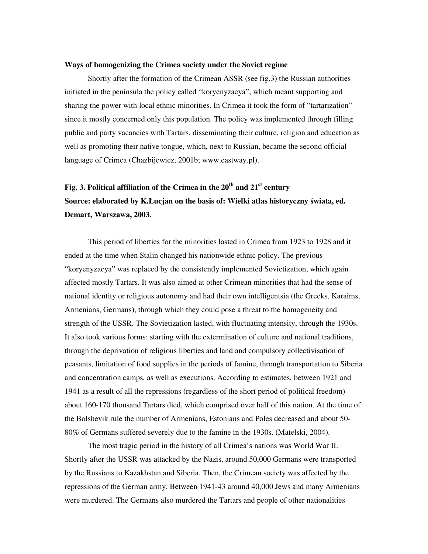### **Ways of homogenizing the Crimea society under the Soviet regime**

Shortly after the formation of the Crimean ASSR (see fig.3) the Russian authorities initiated in the peninsula the policy called "koryenyzacya", which meant supporting and sharing the power with local ethnic minorities. In Crimea it took the form of "tartarization" since it mostly concerned only this population. The policy was implemented through filling public and party vacancies with Tartars, disseminating their culture, religion and education as well as promoting their native tongue, which, next to Russian, became the second official language of Crimea (Chazbijewicz, 2001b; www.eastway.pl).

# **Fig. 3. Political affiliation of the Crimea in the 20th and 21st century Source: elaborated by K.Łucjan on the basis of: Wielki atlas historyczny** ś**wiata, ed. Demart, Warszawa, 2003.**

This period of liberties for the minorities lasted in Crimea from 1923 to 1928 and it ended at the time when Stalin changed his nationwide ethnic policy. The previous "koryenyzacya" was replaced by the consistently implemented Sovietization, which again affected mostly Tartars. It was also aimed at other Crimean minorities that had the sense of national identity or religious autonomy and had their own intelligentsia (the Greeks, Karaims, Armenians, Germans), through which they could pose a threat to the homogeneity and strength of the USSR. The Sovietization lasted, with fluctuating intensity, through the 1930s. It also took various forms: starting with the extermination of culture and national traditions, through the deprivation of religious liberties and land and compulsory collectivisation of peasants, limitation of food supplies in the periods of famine, through transportation to Siberia and concentration camps, as well as executions. According to estimates, between 1921 and 1941 as a result of all the repressions (regardless of the short period of political freedom) about 160-170 thousand Tartars died, which comprised over half of this nation. At the time of the Bolshevik rule the number of Armenians, Estonians and Poles decreased and about 50- 80% of Germans suffered severely due to the famine in the 1930s. (Matelski, 2004).

The most tragic period in the history of all Crimea's nations was World War II. Shortly after the USSR was attacked by the Nazis, around 50,000 Germans were transported by the Russians to Kazakhstan and Siberia. Then, the Crimean society was affected by the repressions of the German army. Between 1941-43 around 40,000 Jews and many Armenians were murdered. The Germans also murdered the Tartars and people of other nationalities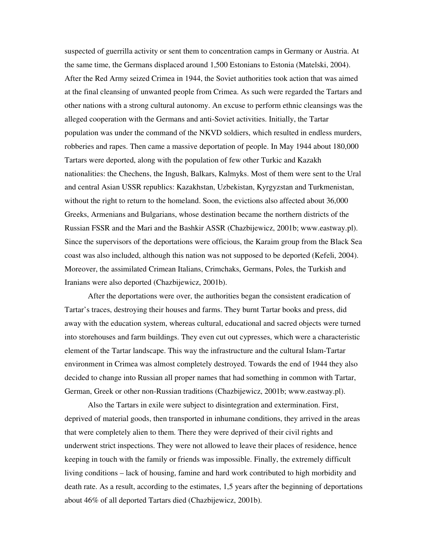suspected of guerrilla activity or sent them to concentration camps in Germany or Austria. At the same time, the Germans displaced around 1,500 Estonians to Estonia (Matelski, 2004). After the Red Army seized Crimea in 1944, the Soviet authorities took action that was aimed at the final cleansing of unwanted people from Crimea. As such were regarded the Tartars and other nations with a strong cultural autonomy. An excuse to perform ethnic cleansings was the alleged cooperation with the Germans and anti-Soviet activities. Initially, the Tartar population was under the command of the NKVD soldiers, which resulted in endless murders, robberies and rapes. Then came a massive deportation of people. In May 1944 about 180,000 Tartars were deported, along with the population of few other Turkic and Kazakh nationalities: the Chechens, the Ingush, Balkars, Kalmyks. Most of them were sent to the Ural and central Asian USSR republics: Kazakhstan, Uzbekistan, Kyrgyzstan and Turkmenistan, without the right to return to the homeland. Soon, the evictions also affected about 36,000 Greeks, Armenians and Bulgarians, whose destination became the northern districts of the Russian FSSR and the Mari and the Bashkir ASSR (Chazbijewicz, 2001b; www.eastway.pl). Since the supervisors of the deportations were officious, the Karaim group from the Black Sea coast was also included, although this nation was not supposed to be deported (Kefeli, 2004). Moreover, the assimilated Crimean Italians, Crimchaks, Germans, Poles, the Turkish and Iranians were also deported (Chazbijewicz, 2001b).

After the deportations were over, the authorities began the consistent eradication of Tartar's traces, destroying their houses and farms. They burnt Tartar books and press, did away with the education system, whereas cultural, educational and sacred objects were turned into storehouses and farm buildings. They even cut out cypresses, which were a characteristic element of the Tartar landscape. This way the infrastructure and the cultural Islam-Tartar environment in Crimea was almost completely destroyed. Towards the end of 1944 they also decided to change into Russian all proper names that had something in common with Tartar, German, Greek or other non-Russian traditions (Chazbijewicz, 2001b; www.eastway.pl).

Also the Tartars in exile were subject to disintegration and extermination. First, deprived of material goods, then transported in inhumane conditions, they arrived in the areas that were completely alien to them. There they were deprived of their civil rights and underwent strict inspections. They were not allowed to leave their places of residence, hence keeping in touch with the family or friends was impossible. Finally, the extremely difficult living conditions – lack of housing, famine and hard work contributed to high morbidity and death rate. As a result, according to the estimates, 1,5 years after the beginning of deportations about 46% of all deported Tartars died (Chazbijewicz, 2001b).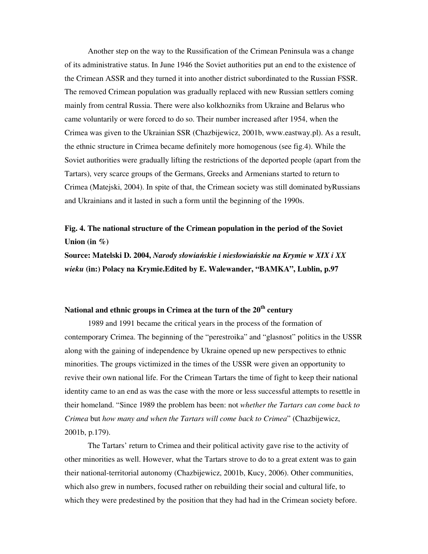Another step on the way to the Russification of the Crimean Peninsula was a change of its administrative status. In June 1946 the Soviet authorities put an end to the existence of the Crimean ASSR and they turned it into another district subordinated to the Russian FSSR. The removed Crimean population was gradually replaced with new Russian settlers coming mainly from central Russia. There were also kolkhozniks from Ukraine and Belarus who came voluntarily or were forced to do so. Their number increased after 1954, when the Crimea was given to the Ukrainian SSR (Chazbijewicz, 2001b, www.eastway.pl). As a result, the ethnic structure in Crimea became definitely more homogenous (see fig.4). While the Soviet authorities were gradually lifting the restrictions of the deported people (apart from the Tartars), very scarce groups of the Germans, Greeks and Armenians started to return to Crimea (Matejski, 2004). In spite of that, the Crimean society was still dominated byRussians and Ukrainians and it lasted in such a form until the beginning of the 1990s.

### **Fig. 4. The national structure of the Crimean population in the period of the Soviet Union (in %)**

**Source: Matelski D. 2004,** *Narody słowia*ń*skie i niesłowia*ń*skie na Krymie w XIX i XX wieku* **(in:) Polacy na Krymie.Edited by E. Walewander, "BAMKA", Lublin, p.97** 

### **National and ethnic groups in Crimea at the turn of the 20th century**

1989 and 1991 became the critical years in the process of the formation of contemporary Crimea. The beginning of the "perestroika" and "glasnost" politics in the USSR along with the gaining of independence by Ukraine opened up new perspectives to ethnic minorities. The groups victimized in the times of the USSR were given an opportunity to revive their own national life. For the Crimean Tartars the time of fight to keep their national identity came to an end as was the case with the more or less successful attempts to resettle in their homeland. "Since 1989 the problem has been: not *whether the Tartars can come back to Crimea* but *how many and when the Tartars will come back to Crimea*" (Chazbijewicz, 2001b, p.179).

The Tartars' return to Crimea and their political activity gave rise to the activity of other minorities as well. However, what the Tartars strove to do to a great extent was to gain their national-territorial autonomy (Chazbijewicz, 2001b, Kucy, 2006). Other communities, which also grew in numbers, focused rather on rebuilding their social and cultural life, to which they were predestined by the position that they had had in the Crimean society before.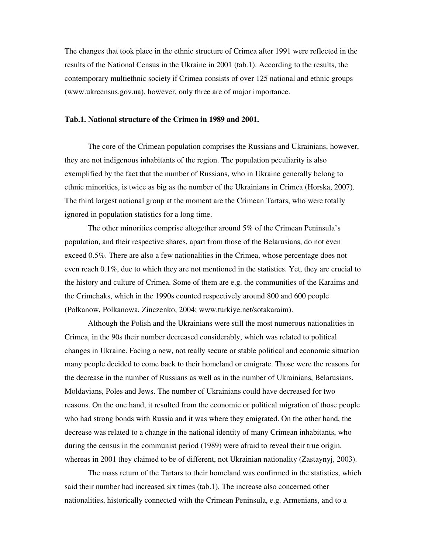The changes that took place in the ethnic structure of Crimea after 1991 were reflected in the results of the National Census in the Ukraine in 2001 (tab.1). According to the results, the contemporary multiethnic society if Crimea consists of over 125 national and ethnic groups (www.ukrcensus.gov.ua), however, only three are of major importance.

### **Tab.1. National structure of the Crimea in 1989 and 2001.**

The core of the Crimean population comprises the Russians and Ukrainians, however, they are not indigenous inhabitants of the region. The population peculiarity is also exemplified by the fact that the number of Russians, who in Ukraine generally belong to ethnic minorities, is twice as big as the number of the Ukrainians in Crimea (Horska, 2007). The third largest national group at the moment are the Crimean Tartars, who were totally ignored in population statistics for a long time.

The other minorities comprise altogether around 5% of the Crimean Peninsula's population, and their respective shares, apart from those of the Belarusians, do not even exceed 0.5%. There are also a few nationalities in the Crimea, whose percentage does not even reach 0.1%, due to which they are not mentioned in the statistics. Yet, they are crucial to the history and culture of Crimea. Some of them are e.g. the communities of the Karaims and the Crimchaks, which in the 1990s counted respectively around 800 and 600 people (Połkanow, Polkanowa, Zinczenko, 2004; www.turkiye.net/sotakaraim).

Although the Polish and the Ukrainians were still the most numerous nationalities in Crimea, in the 90s their number decreased considerably, which was related to political changes in Ukraine. Facing a new, not really secure or stable political and economic situation many people decided to come back to their homeland or emigrate. Those were the reasons for the decrease in the number of Russians as well as in the number of Ukrainians, Belarusians, Moldavians, Poles and Jews. The number of Ukrainians could have decreased for two reasons. On the one hand, it resulted from the economic or political migration of those people who had strong bonds with Russia and it was where they emigrated. On the other hand, the decrease was related to a change in the national identity of many Crimean inhabitants, who during the census in the communist period (1989) were afraid to reveal their true origin, whereas in 2001 they claimed to be of different, not Ukrainian nationality (Zastaynyj, 2003).

The mass return of the Tartars to their homeland was confirmed in the statistics, which said their number had increased six times (tab.1). The increase also concerned other nationalities, historically connected with the Crimean Peninsula, e.g. Armenians, and to a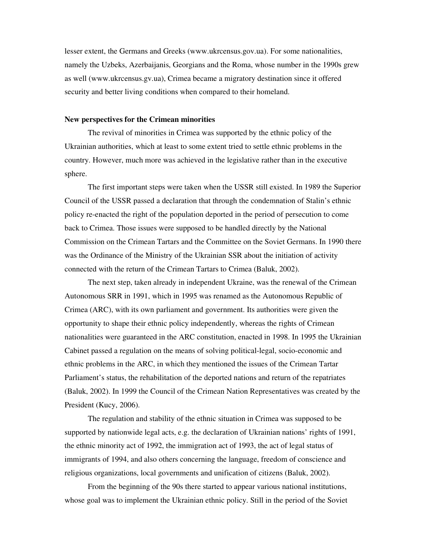lesser extent, the Germans and Greeks (www.ukrcensus.gov.ua). For some nationalities, namely the Uzbeks, Azerbaijanis, Georgians and the Roma, whose number in the 1990s grew as well (www.ukrcensus.gv.ua), Crimea became a migratory destination since it offered security and better living conditions when compared to their homeland.

### **New perspectives for the Crimean minorities**

The revival of minorities in Crimea was supported by the ethnic policy of the Ukrainian authorities, which at least to some extent tried to settle ethnic problems in the country. However, much more was achieved in the legislative rather than in the executive sphere.

The first important steps were taken when the USSR still existed. In 1989 the Superior Council of the USSR passed a declaration that through the condemnation of Stalin's ethnic policy re-enacted the right of the population deported in the period of persecution to come back to Crimea. Those issues were supposed to be handled directly by the National Commission on the Crimean Tartars and the Committee on the Soviet Germans. In 1990 there was the Ordinance of the Ministry of the Ukrainian SSR about the initiation of activity connected with the return of the Crimean Tartars to Crimea (Baluk, 2002).

The next step, taken already in independent Ukraine, was the renewal of the Crimean Autonomous SRR in 1991, which in 1995 was renamed as the Autonomous Republic of Crimea (ARC), with its own parliament and government. Its authorities were given the opportunity to shape their ethnic policy independently, whereas the rights of Crimean nationalities were guaranteed in the ARC constitution, enacted in 1998. In 1995 the Ukrainian Cabinet passed a regulation on the means of solving political-legal, socio-economic and ethnic problems in the ARC, in which they mentioned the issues of the Crimean Tartar Parliament's status, the rehabilitation of the deported nations and return of the repatriates (Baluk, 2002). In 1999 the Council of the Crimean Nation Representatives was created by the President (Kucy, 2006).

The regulation and stability of the ethnic situation in Crimea was supposed to be supported by nationwide legal acts, e.g. the declaration of Ukrainian nations' rights of 1991, the ethnic minority act of 1992, the immigration act of 1993, the act of legal status of immigrants of 1994, and also others concerning the language, freedom of conscience and religious organizations, local governments and unification of citizens (Baluk, 2002).

From the beginning of the 90s there started to appear various national institutions, whose goal was to implement the Ukrainian ethnic policy. Still in the period of the Soviet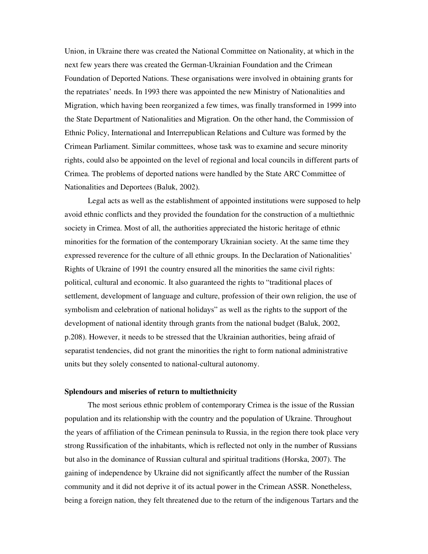Union, in Ukraine there was created the National Committee on Nationality, at which in the next few years there was created the German-Ukrainian Foundation and the Crimean Foundation of Deported Nations. These organisations were involved in obtaining grants for the repatriates' needs. In 1993 there was appointed the new Ministry of Nationalities and Migration, which having been reorganized a few times, was finally transformed in 1999 into the State Department of Nationalities and Migration. On the other hand, the Commission of Ethnic Policy, International and Interrepublican Relations and Culture was formed by the Crimean Parliament. Similar committees, whose task was to examine and secure minority rights, could also be appointed on the level of regional and local councils in different parts of Crimea. The problems of deported nations were handled by the State ARC Committee of Nationalities and Deportees (Baluk, 2002).

Legal acts as well as the establishment of appointed institutions were supposed to help avoid ethnic conflicts and they provided the foundation for the construction of a multiethnic society in Crimea. Most of all, the authorities appreciated the historic heritage of ethnic minorities for the formation of the contemporary Ukrainian society. At the same time they expressed reverence for the culture of all ethnic groups. In the Declaration of Nationalities' Rights of Ukraine of 1991 the country ensured all the minorities the same civil rights: political, cultural and economic. It also guaranteed the rights to "traditional places of settlement, development of language and culture, profession of their own religion, the use of symbolism and celebration of national holidays" as well as the rights to the support of the development of national identity through grants from the national budget (Baluk, 2002, p.208). However, it needs to be stressed that the Ukrainian authorities, being afraid of separatist tendencies, did not grant the minorities the right to form national administrative units but they solely consented to national-cultural autonomy.

#### **Splendours and miseries of return to multiethnicity**

The most serious ethnic problem of contemporary Crimea is the issue of the Russian population and its relationship with the country and the population of Ukraine. Throughout the years of affiliation of the Crimean peninsula to Russia, in the region there took place very strong Russification of the inhabitants, which is reflected not only in the number of Russians but also in the dominance of Russian cultural and spiritual traditions (Horska, 2007). The gaining of independence by Ukraine did not significantly affect the number of the Russian community and it did not deprive it of its actual power in the Crimean ASSR. Nonetheless, being a foreign nation, they felt threatened due to the return of the indigenous Tartars and the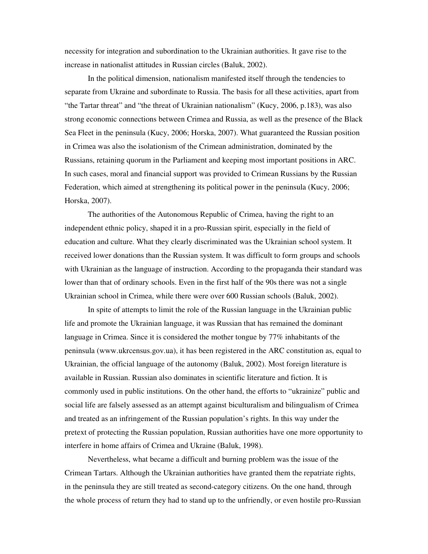necessity for integration and subordination to the Ukrainian authorities. It gave rise to the increase in nationalist attitudes in Russian circles (Baluk, 2002).

In the political dimension, nationalism manifested itself through the tendencies to separate from Ukraine and subordinate to Russia. The basis for all these activities, apart from "the Tartar threat" and "the threat of Ukrainian nationalism" (Kucy, 2006, p.183), was also strong economic connections between Crimea and Russia, as well as the presence of the Black Sea Fleet in the peninsula (Kucy, 2006; Horska, 2007). What guaranteed the Russian position in Crimea was also the isolationism of the Crimean administration, dominated by the Russians, retaining quorum in the Parliament and keeping most important positions in ARC. In such cases, moral and financial support was provided to Crimean Russians by the Russian Federation, which aimed at strengthening its political power in the peninsula (Kucy, 2006; Horska, 2007).

The authorities of the Autonomous Republic of Crimea, having the right to an independent ethnic policy, shaped it in a pro-Russian spirit, especially in the field of education and culture. What they clearly discriminated was the Ukrainian school system. It received lower donations than the Russian system. It was difficult to form groups and schools with Ukrainian as the language of instruction. According to the propaganda their standard was lower than that of ordinary schools. Even in the first half of the 90s there was not a single Ukrainian school in Crimea, while there were over 600 Russian schools (Baluk, 2002).

In spite of attempts to limit the role of the Russian language in the Ukrainian public life and promote the Ukrainian language, it was Russian that has remained the dominant language in Crimea. Since it is considered the mother tongue by 77% inhabitants of the peninsula (www.ukrcensus.gov.ua), it has been registered in the ARC constitution as, equal to Ukrainian, the official language of the autonomy (Baluk, 2002). Most foreign literature is available in Russian. Russian also dominates in scientific literature and fiction. It is commonly used in public institutions. On the other hand, the efforts to "ukrainize" public and social life are falsely assessed as an attempt against biculturalism and bilingualism of Crimea and treated as an infringement of the Russian population's rights. In this way under the pretext of protecting the Russian population, Russian authorities have one more opportunity to interfere in home affairs of Crimea and Ukraine (Baluk, 1998).

Nevertheless, what became a difficult and burning problem was the issue of the Crimean Tartars. Although the Ukrainian authorities have granted them the repatriate rights, in the peninsula they are still treated as second-category citizens. On the one hand, through the whole process of return they had to stand up to the unfriendly, or even hostile pro-Russian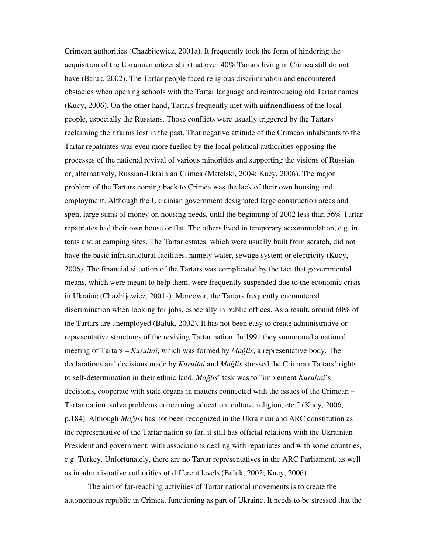Crimean authorities (Chazbijewicz, 2001a). It frequently took the form of hindering the acquisition of the Ukrainian citizenship that over 40% Tartars living in Crimea still do not have (Baluk, 2002). The Tartar people faced religious discrimination and encountered obstacles when opening schools with the Tartar language and reintroducing old Tartar names (Kucy, 2006). On the other hand, Tartars frequently met with unfriendliness of the local people, especially the Russians. Those conflicts were usually triggered by the Tartars reclaiming their farms lost in the past. That negative attitude of the Crimean inhabitants to the Tartar repatriates was even more fuelled by the local political authorities opposing the processes of the national revival of various minorities and supporting the visions of Russian or, alternatively, Russian-Ukrainian Crimea (Matelski, 2004; Kucy, 2006). The major problem of the Tartars coming back to Crimea was the lack of their own housing and employment. Although the Ukrainian government designated large construction areas and spent large sums of money on housing needs, until the beginning of 2002 less than 56% Tartar repatriates had their own house or flat. The others lived in temporary accommodation, e.g. in tents and at camping sites. The Tartar estates, which were usually built from scratch, did not have the basic infrastructural facilities, namely water, sewage system or electricity (Kucy, 2006). The financial situation of the Tartars was complicated by the fact that governmental means, which were meant to help them, were frequently suspended due to the economic crisis in Ukraine (Chazbijewicz, 2001a). Moreover, the Tartars frequently encountered discrimination when looking for jobs, especially in public offices. As a result, around 60% of the Tartars are unemployed (Baluk, 2002). It has not been easy to create administrative or representative structures of the reviving Tartar nation. In 1991 they summoned a national meeting of Tartars – *Kurultai*, which was formed by *Ma*ğ*lis*, a representative body. The declarations and decisions made by *Kurultai* and *Ma*ğ*lis* stressed the Crimean Tartars' rights to self-determination in their ethnic land. *Ma*ğ*lis*' task was to "implement *Kurultai*'s decisions, cooperate with state organs in matters connected with the issues of the Crimean – Tartar nation, solve problems concerning education, culture, religion, etc." (Kucy, 2006, p.184). Although *Ma*ğ*lis* has not been recognized in the Ukrainian and ARC constitution as the representative of the Tartar nation so far, it still has official relations with the Ukrainian President and government, with associations dealing with repatriates and with some countries, e.g. Turkey. Unfortunately, there are no Tartar representatives in the ARC Parliament, as well as in administrative authorities of different levels (Baluk, 2002; Kucy, 2006).

The aim of far-reaching activities of Tartar national movements is to create the autonomous republic in Crimea, functioning as part of Ukraine. It needs to be stressed that the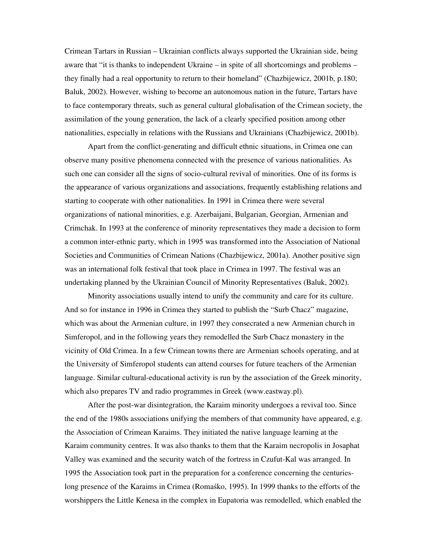Crimean Tartars in Russian – Ukrainian conflicts always supported the Ukrainian side, being aware that "it is thanks to independent Ukraine – in spite of all shortcomings and problems – they finally had a real opportunity to return to their homeland" (Chazbijewicz, 2001b, p.180; Baluk, 2002). However, wishing to become an autonomous nation in the future, Tartars have to face contemporary threats, such as general cultural globalisation of the Crimean society, the assimilation of the young generation, the lack of a clearly specified position among other nationalities, especially in relations with the Russians and Ukrainians (Chazbijewicz, 2001b).

Apart from the conflict-generating and difficult ethnic situations, in Crimea one can observe many positive phenomena connected with the presence of various nationalities. As such one can consider all the signs of socio-cultural revival of minorities. One of its forms is the appearance of various organizations and associations, frequently establishing relations and starting to cooperate with other nationalities. In 1991 in Crimea there were several organizations of national minorities, e.g. Azerbaijani, Bulgarian, Georgian, Armenian and Crimchak. In 1993 at the conference of minority representatives they made a decision to form a common inter-ethnic party, which in 1995 was transformed into the Association of National Societies and Communities of Crimean Nations (Chazbijewicz, 2001a). Another positive sign was an international folk festival that took place in Crimea in 1997. The festival was an undertaking planned by the Ukrainian Council of Minority Representatives (Baluk, 2002).

Minority associations usually intend to unify the community and care for its culture. And so for instance in 1996 in Crimea they started to publish the "Surb Chacz" magazine, which was about the Armenian culture, in 1997 they consecrated a new Armenian church in Simferopol, and in the following years they remodelled the Surb Chacz monastery in the vicinity of Old Crimea. In a few Crimean towns there are Armenian schools operating, and at the University of Simferopol students can attend courses for future teachers of the Armenian language. Similar cultural-educational activity is run by the association of the Greek minority, which also prepares TV and radio programmes in Greek (www.eastway.pl).

After the post-war disintegration, the Karaim minority undergoes a revival too. Since the end of the 1980s associations unifying the members of that community have appeared, e.g. the Association of Crimean Karaims. They initiated the native language learning at the Karaim community centres. It was also thanks to them that the Karaim necropolis in Josaphat Valley was examined and the security watch of the fortress in Czufut-Kal was arranged. In 1995 the Association took part in the preparation for a conference concerning the centurieslong presence of the Karaims in Crimea (Romaśko, 1995). In 1999 thanks to the efforts of the worshippers the Little Kenesa in the complex in Eupatoria was remodelled, which enabled the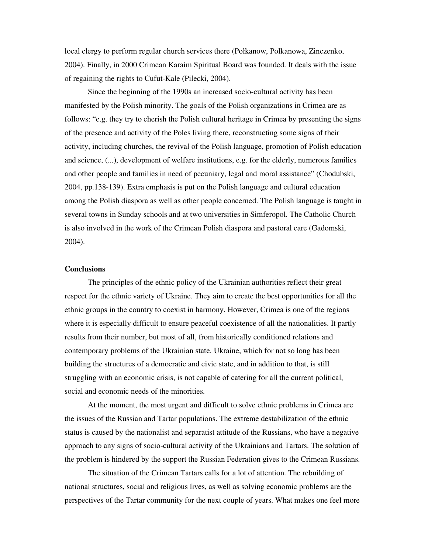local clergy to perform regular church services there (Połkanow, Połkanowa, Zinczenko, 2004). Finally, in 2000 Crimean Karaim Spiritual Board was founded. It deals with the issue of regaining the rights to Cufut-Kale (Pilecki, 2004).

Since the beginning of the 1990s an increased socio-cultural activity has been manifested by the Polish minority. The goals of the Polish organizations in Crimea are as follows: "e.g. they try to cherish the Polish cultural heritage in Crimea by presenting the signs of the presence and activity of the Poles living there, reconstructing some signs of their activity, including churches, the revival of the Polish language, promotion of Polish education and science, (...), development of welfare institutions, e.g. for the elderly, numerous families and other people and families in need of pecuniary, legal and moral assistance" (Chodubski, 2004, pp.138-139). Extra emphasis is put on the Polish language and cultural education among the Polish diaspora as well as other people concerned. The Polish language is taught in several towns in Sunday schools and at two universities in Simferopol. The Catholic Church is also involved in the work of the Crimean Polish diaspora and pastoral care (Gadomski, 2004).

### **Conclusions**

The principles of the ethnic policy of the Ukrainian authorities reflect their great respect for the ethnic variety of Ukraine. They aim to create the best opportunities for all the ethnic groups in the country to coexist in harmony. However, Crimea is one of the regions where it is especially difficult to ensure peaceful coexistence of all the nationalities. It partly results from their number, but most of all, from historically conditioned relations and contemporary problems of the Ukrainian state. Ukraine, which for not so long has been building the structures of a democratic and civic state, and in addition to that, is still struggling with an economic crisis, is not capable of catering for all the current political, social and economic needs of the minorities.

At the moment, the most urgent and difficult to solve ethnic problems in Crimea are the issues of the Russian and Tartar populations. The extreme destabilization of the ethnic status is caused by the nationalist and separatist attitude of the Russians, who have a negative approach to any signs of socio-cultural activity of the Ukrainians and Tartars. The solution of the problem is hindered by the support the Russian Federation gives to the Crimean Russians.

The situation of the Crimean Tartars calls for a lot of attention. The rebuilding of national structures, social and religious lives, as well as solving economic problems are the perspectives of the Tartar community for the next couple of years. What makes one feel more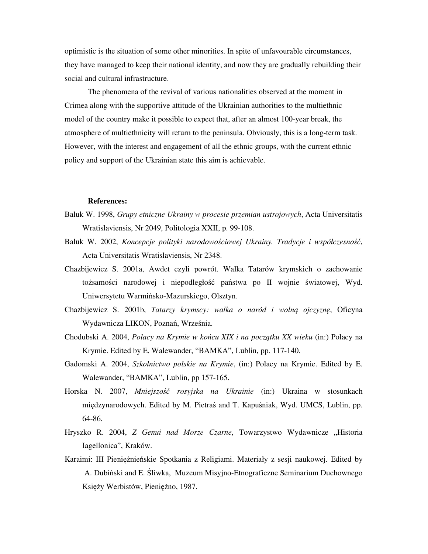optimistic is the situation of some other minorities. In spite of unfavourable circumstances, they have managed to keep their national identity, and now they are gradually rebuilding their social and cultural infrastructure.

The phenomena of the revival of various nationalities observed at the moment in Crimea along with the supportive attitude of the Ukrainian authorities to the multiethnic model of the country make it possible to expect that, after an almost 100-year break, the atmosphere of multiethnicity will return to the peninsula. Obviously, this is a long-term task. However, with the interest and engagement of all the ethnic groups, with the current ethnic policy and support of the Ukrainian state this aim is achievable.

#### **References:**

- Baluk W. 1998, *Grupy etniczne Ukrainy w procesie przemian ustrojowych*, Acta Universitatis Wratislaviensis, Nr 2049, Politologia XXII, p. 99-108.
- Baluk W. 2002, *Koncepcje polityki narodowo*ś*ciowej Ukrainy. Tradycje i współczesno*ść, Acta Universitatis Wratislaviensis, Nr 2348.
- Chazbijewicz S. 2001a, Awdet czyli powrót. Walka Tatarów krymskich o zachowanie tożsamości narodowej i niepodległość państwa po II wojnie światowej, Wyd. Uniwersytetu Warmińsko-Mazurskiego, Olsztyn.
- Chazbijewicz S. 2001b, *Tatarzy krymscy: walka o naród i woln*ą *ojczyzn*ę, Oficyna Wydawnicza LIKON, Poznań, Września.
- Chodubski A. 2004, *Polacy na Krymie w ko*ń*cu XIX i na pocz*ą*tku XX wieku* (in:) Polacy na Krymie. Edited by E. Walewander, "BAMKA", Lublin, pp. 117-140.
- Gadomski A. 2004, *Szkolnictwo polskie na Krymie*, (in:) Polacy na Krymie. Edited by E. Walewander, "BAMKA", Lublin, pp 157-165.
- Horska N. 2007, *Mniejszo*ść *rosyjska na Ukrainie* (in:) Ukraina w stosunkach międzynarodowych. Edited by M. Pietraś and T. Kapuśniak, Wyd. UMCS, Lublin, pp. 64-86.
- Hryszko R. 2004, *Z Genui nad Morze Czarne*, Towarzystwo Wydawnicze "Historia Iagellonica", Kraków.
- Karaimi: III Pieniężnieńskie Spotkania z Religiami. Materiały z sesji naukowej. Edited by A. Dubiński and E. Śliwka, Muzeum Misyjno-Etnograficzne Seminarium Duchownego Księży Werbistów, Pieniężno, 1987.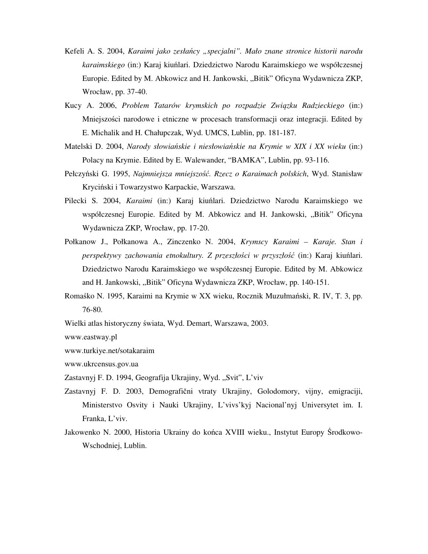- Kefeli A. S. 2004, *Karaimi jako zesła*ń*cy "specjalni". Mało znane stronice historii narodu karaimskiego* (in:) Karaj kiuńlari. Dziedzictwo Narodu Karaimskiego we współczesnej Europie. Edited by M. Abkowicz and H. Jankowski, "Bitik" Oficyna Wydawnicza ZKP, Wrocław, pp. 37-40.
- Kucy A. 2006, *Problem Tatarów krymskich po rozpadzie Zwi*ą*zku Radzieckiego* (in:) Mniejszości narodowe i etniczne w procesach transformacji oraz integracji. Edited by E. Michalik and H. Chałupczak, Wyd. UMCS, Lublin, pp. 181-187.
- Matelski D. 2004, *Narody słowia*ń*skie i niesłowia*ń*skie na Krymie w XIX i XX wieku* (in:) Polacy na Krymie. Edited by E. Walewander, "BAMKA", Lublin, pp. 93-116.
- Pełczyński G. 1995, *Najmniejsza mniejszo*ść*. Rzecz o Karaimach polskich*, Wyd. Stanisław Kryciński i Towarzystwo Karpackie, Warszawa.
- Pilecki S. 2004, *Karaimi* (in:) Karaj kiuńlari. Dziedzictwo Narodu Karaimskiego we współczesnej Europie. Edited by M. Abkowicz and H. Jankowski, "Bitik" Oficyna Wydawnicza ZKP, Wrocław, pp. 17-20.
- Połkanow J., Połkanowa A., Zinczenko N. 2004, *Krymscy Karaimi Karaje. Stan i perspektywy zachowania etnokultury. Z przeszło*ś*ci w przyszło*ść (in:) Karaj kiuńlari. Dziedzictwo Narodu Karaimskiego we współczesnej Europie. Edited by M. Abkowicz and H. Jankowski, "Bitik" Oficyna Wydawnicza ZKP, Wrocław, pp. 140-151.
- Romaśko N. 1995, Karaimi na Krymie w XX wieku, Rocznik Muzułmański, R. IV, T. 3, pp. 76-80.
- Wielki atlas historyczny świata, Wyd. Demart, Warszawa, 2003.

www.eastway.pl

www.turkiye.net/sotakaraim

www.ukrcensus.gov.ua

- Zastavnyj F. D. 1994, Geografija Ukrajiny, Wyd. "Svit", L'viv
- Zastavnyj F. D. 2003, Demografični vtraty Ukrajiny, Golodomory, vijny, emigraciji, Ministerstvo Osvity i Nauki Ukrajiny, L'vivs'kyj Nacional'nyj Universytet im. I. Franka, L'viv.
- Jakowenko N. 2000, Historia Ukrainy do końca XVIII wieku., Instytut Europy Środkowo-Wschodniej, Lublin.